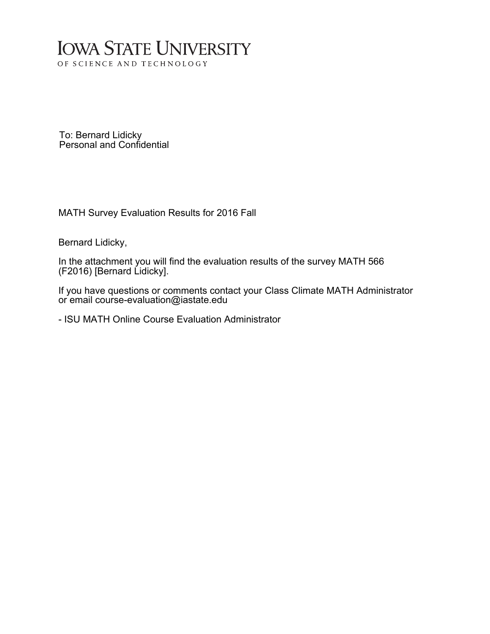# **IOWA STATE UNIVERSITY** OF SCIENCE AND TECHNOLOGY

To: Bernard Lidicky Personal and Confidential

MATH Survey Evaluation Results for 2016 Fall

Bernard Lidicky,

In the attachment you will find the evaluation results of the survey MATH 566 (F2016) [Bernard Lidicky].

If you have questions or comments contact your Class Climate MATH Administrator or email course-evaluation@iastate.edu

- ISU MATH Online Course Evaluation Administrator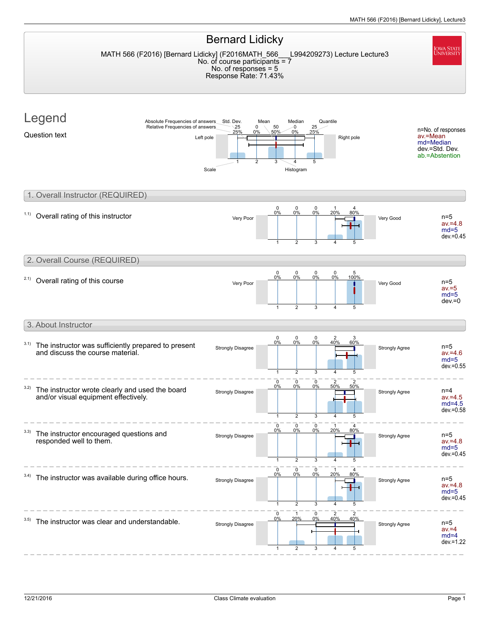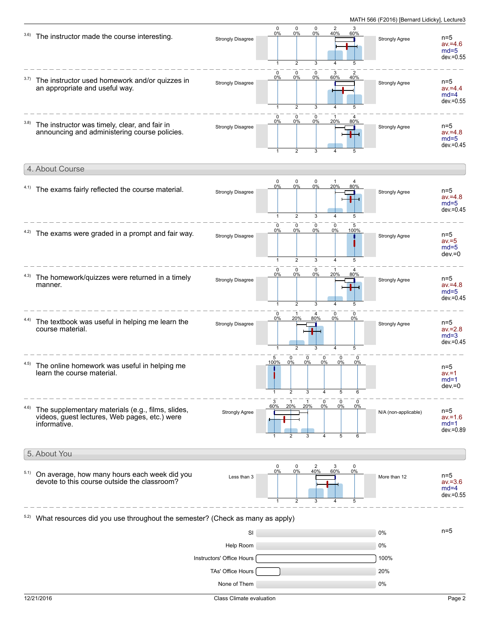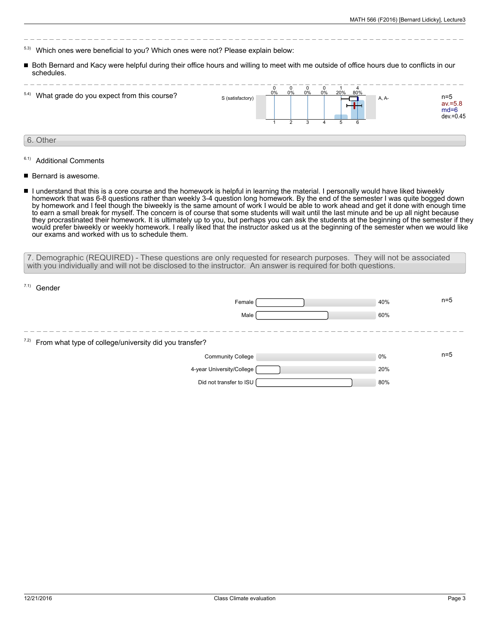- 5.3) Which ones were beneficial to you? Which ones were not? Please explain below:
- Both Bernard and Kacy were helpful during their office hours and willing to meet with me outside of office hours due to conflicts in our schedules.

| 5.4) What grade do you expect from this course? | S (satisfactory) | 0% | 0% | O<br>0% | 0% | 20% | Δ<br>80% | A, A- | $n=5$<br>$av = 5.8$<br>$md=6$ | $dev = 0.45$ |
|-------------------------------------------------|------------------|----|----|---------|----|-----|----------|-------|-------------------------------|--------------|
|                                                 |                  |    |    |         |    | b.  | 6        |       |                               |              |
| 6. Other                                        |                  |    |    |         |    |     |          |       |                               |              |

- 6.1) Additional Comments
- Bernard is awesome.
- I understand that this is a core course and the homework is helpful in learning the material. I personally would have liked biweekly homework that was 6-8 questions rather than weekly 3-4 question long homework. By the end of the semester I was quite bogged down by homework and I feel though the biweekly is the same amount of work I would be able to work ahead and get it done with enough time to earn a small break for myself. The concern is of course that some students will wait until the last minute and be up all night because they procrastinated their homework. It is ultimately up to you, but perhaps you can ask the students at the beginning of the semester if they would prefer biweekly or weekly homework. I really liked that the instructor asked us at the beginning of the semester when we would like our exams and worked with us to schedule them.

7. Demographic (REQUIRED) - These questions are only requested for research purposes. They will not be associated with you individually and will not be disclosed to the instructor. An answer is required for both questions.

| $7.1)$ Gender                                               |     |       |
|-------------------------------------------------------------|-----|-------|
| Female                                                      | 40% | $n=5$ |
| Male                                                        | 60% |       |
|                                                             |     |       |
| 7.2) From what type of college/university did you transfer? |     |       |
| <b>Community College</b>                                    | 0%  | $n=5$ |
| 4-year University/College                                   | 20% |       |
| Did not transfer to ISU                                     | 80% |       |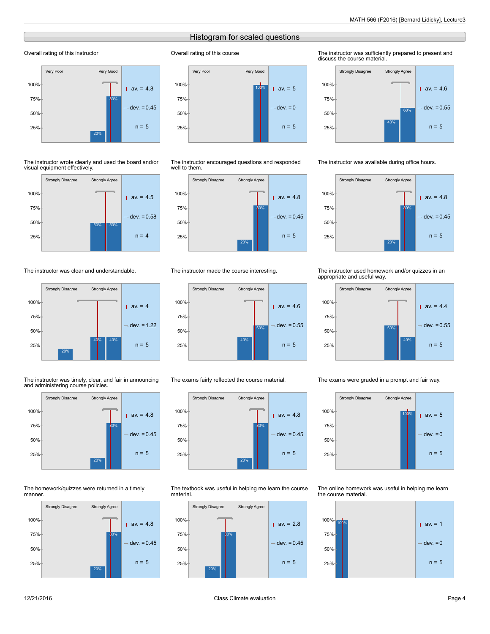## Histogram for scaled questions

Overall rating of this course

#### Overall rating of this instructor



#### The instructor wrote clearly and used the board and/or visual equipment effectively.



### The instructor was clear and understandable.



#### The instructor was timely, clear, and fair in announcing and administering course policies.



#### The homework/quizzes were returned in a timely manner.





The instructor encouraged questions and responded well to them.



#### The instructor made the course interesting.



#### The exams fairly reflected the course material.



The textbook was useful in helping me learn the course material.



#### The instructor was sufficiently prepared to present and discuss the course material.



#### The instructor was available during office hours.



#### The instructor used homework and/or quizzes in an appropriate and useful way.



#### The exams were graded in a prompt and fair way.



The online homework was useful in helping me learn the course material.

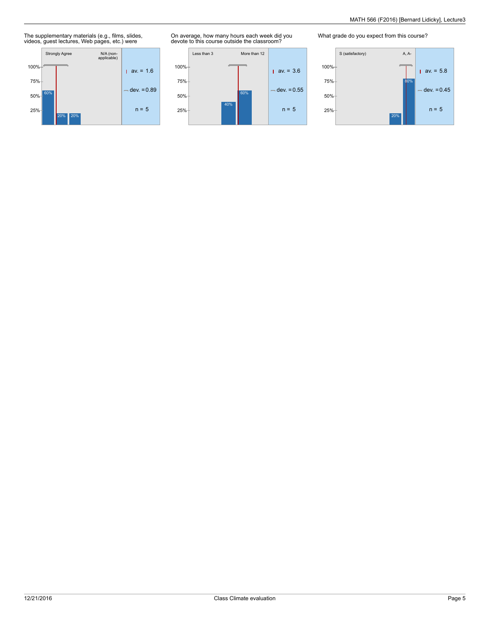## The supplementary materials (e.g., films, slides, videos, guest lectures, Web pages, etc.) were



On average, how many hours each week did you devote to this course outside the classroom?



What grade do you expect from this course?

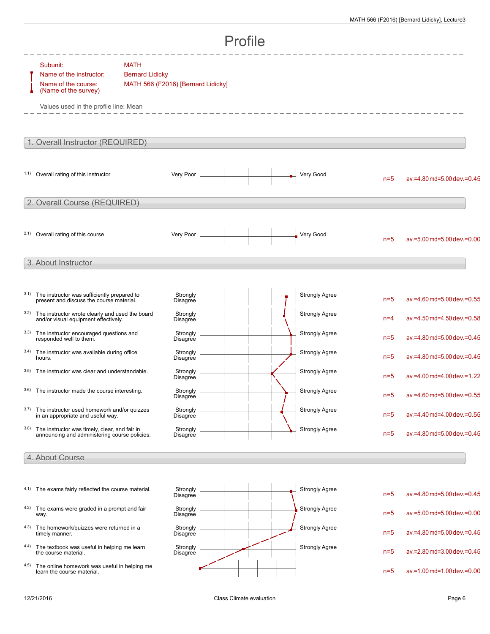|                 | Profile                                                                                                                     |                                                                             |                      |  |  |  |  |                       |       |                               |  |
|-----------------|-----------------------------------------------------------------------------------------------------------------------------|-----------------------------------------------------------------------------|----------------------|--|--|--|--|-----------------------|-------|-------------------------------|--|
|                 | Subunit:<br>Name of the instructor:<br>Name of the course:<br>(Name of the survey)<br>Values used in the profile line: Mean | <b>MATH</b><br><b>Bernard Lidicky</b><br>MATH 566 (F2016) [Bernard Lidicky] |                      |  |  |  |  |                       |       |                               |  |
|                 | 1. Overall Instructor (REQUIRED)                                                                                            |                                                                             |                      |  |  |  |  |                       |       |                               |  |
|                 | 1.1) Overall rating of this instructor                                                                                      |                                                                             | Very Poor            |  |  |  |  | Very Good             | $n=5$ | av.=4.80 md=5.00 dev.=0.45    |  |
|                 | 2. Overall Course (REQUIRED)                                                                                                |                                                                             |                      |  |  |  |  |                       |       |                               |  |
|                 | 2.1) Overall rating of this course                                                                                          |                                                                             | Very Poor            |  |  |  |  | Very Good             | $n=5$ | av.=5.00 md=5.00 dev.=0.00    |  |
|                 | 3. About Instructor                                                                                                         |                                                                             |                      |  |  |  |  |                       |       |                               |  |
| 3.1)            | The instructor was sufficiently prepared to<br>present and discuss the course material.                                     |                                                                             | Strongly<br>Disagree |  |  |  |  | <b>Strongly Agree</b> | $n=5$ | av.=4.60 md=5.00 dev.=0.55    |  |
| 3.2)            | The instructor wrote clearly and used the board<br>and/or visual equipment effectively.                                     |                                                                             | Strongly<br>Disagree |  |  |  |  | <b>Strongly Agree</b> | $n=4$ | av.=4.50 md=4.50 dev.=0.58    |  |
| 3.3)            | The instructor encouraged questions and<br>responded well to them.                                                          |                                                                             | Strongly<br>Disagree |  |  |  |  | <b>Strongly Agree</b> | $n=5$ | av.=4.80 md=5.00 dev.=0.45    |  |
| 3.4)            | The instructor was available during office<br>hours.                                                                        |                                                                             | Strongly<br>Disagree |  |  |  |  | <b>Strongly Agree</b> | $n=5$ | av.=4.80 md=5.00 dev.=0.45    |  |
| 3.5)            | The instructor was clear and understandable.                                                                                |                                                                             | Strongly<br>Disagree |  |  |  |  | <b>Strongly Agree</b> | $n=5$ | av.=4.00 md=4.00 dev.=1.22    |  |
|                 | 3.6) The instructor made the course interesting.                                                                            |                                                                             | Strongly<br>Disagree |  |  |  |  | <b>Strongly Agree</b> | $n=5$ | av.=4.60 md=5.00 dev.=0.55    |  |
| 3.7)            | The instructor used homework and/or quizzes<br>in an appropriate and useful way.                                            |                                                                             | Strongly<br>Disagree |  |  |  |  | <b>Strongly Agree</b> | $n=5$ | av.=4.40 md=4.00 dev.=0.55    |  |
| 3.8)            | The instructor was timely, clear, and fair in<br>announcing and administering course policies.                              |                                                                             | Strongly<br>Disagree |  |  |  |  | <b>Strongly Agree</b> | $n=5$ | av.=4.80 md=5.00 dev.=0.45    |  |
| 4. About Course |                                                                                                                             |                                                                             |                      |  |  |  |  |                       |       |                               |  |
|                 |                                                                                                                             |                                                                             |                      |  |  |  |  |                       |       |                               |  |
|                 | 4.1) The exams fairly reflected the course material.                                                                        |                                                                             | Strongly<br>Disagree |  |  |  |  | <b>Strongly Agree</b> | $n=5$ | av.=4.80 md=5.00 dev.=0.45    |  |
|                 | 4.2) The exams were graded in a prompt and fair<br>way.                                                                     |                                                                             | Strongly<br>Disagree |  |  |  |  | <b>Strongly Agree</b> | $n=5$ | av.=5.00 md=5.00 dev.=0.00    |  |
| 4.3)            | The homework/quizzes were returned in a<br>timely manner.                                                                   |                                                                             | Strongly<br>Disagree |  |  |  |  | Strongly Agree        | $n=5$ | av.=4.80 md=5.00 dev.=0.45    |  |
| 4.4)            | The textbook was useful in helping me learn<br>the course material.                                                         |                                                                             | Strongly<br>Disagree |  |  |  |  | <b>Strongly Agree</b> | $n=5$ | av.=2.80 md=3.00 dev.=0.45    |  |
| 4.5)            | The online homework was useful in helping me<br>learn the course material.                                                  |                                                                             |                      |  |  |  |  |                       | $n=5$ | $av = 1.00$ md=1.00 dev.=0.00 |  |